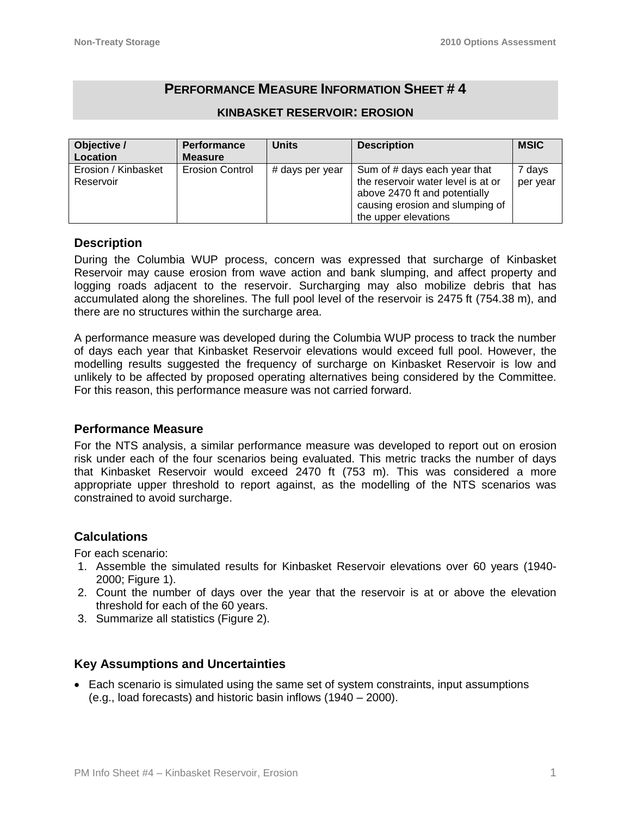# **PERFORMANCE MEASURE INFORMATION SHEET # 4**

| Objective /<br>Location          | <b>Performance</b><br>Measure | <b>Units</b>    | <b>Description</b>                                                                                                                                             | <b>MSIC</b>        |
|----------------------------------|-------------------------------|-----------------|----------------------------------------------------------------------------------------------------------------------------------------------------------------|--------------------|
| Erosion / Kinbasket<br>Reservoir | <b>Erosion Control</b>        | # days per year | Sum of # days each year that<br>the reservoir water level is at or<br>above 2470 ft and potentially<br>causing erosion and slumping of<br>the upper elevations | 7 days<br>per year |

#### **KINBASKET RESERVOIR: EROSION**

### **Description**

During the Columbia WUP process, concern was expressed that surcharge of Kinbasket Reservoir may cause erosion from wave action and bank slumping, and affect property and logging roads adjacent to the reservoir. Surcharging may also mobilize debris that has accumulated along the shorelines. The full pool level of the reservoir is 2475 ft (754.38 m), and there are no structures within the surcharge area.

A performance measure was developed during the Columbia WUP process to track the number of days each year that Kinbasket Reservoir elevations would exceed full pool. However, the modelling results suggested the frequency of surcharge on Kinbasket Reservoir is low and unlikely to be affected by proposed operating alternatives being considered by the Committee. For this reason, this performance measure was not carried forward.

#### **Performance Measure**

For the NTS analysis, a similar performance measure was developed to report out on erosion risk under each of the four scenarios being evaluated. This metric tracks the number of days that Kinbasket Reservoir would exceed 2470 ft (753 m). This was considered a more appropriate upper threshold to report against, as the modelling of the NTS scenarios was constrained to avoid surcharge.

## **Calculations**

For each scenario:

- 1. Assemble the simulated results for Kinbasket Reservoir elevations over 60 years (1940- 2000; Figure 1).
- 2. Count the number of days over the year that the reservoir is at or above the elevation threshold for each of the 60 years.
- 3. Summarize all statistics (Figure 2).

## **Key Assumptions and Uncertainties**

• Each scenario is simulated using the same set of system constraints, input assumptions (e.g., load forecasts) and historic basin inflows (1940 – 2000).